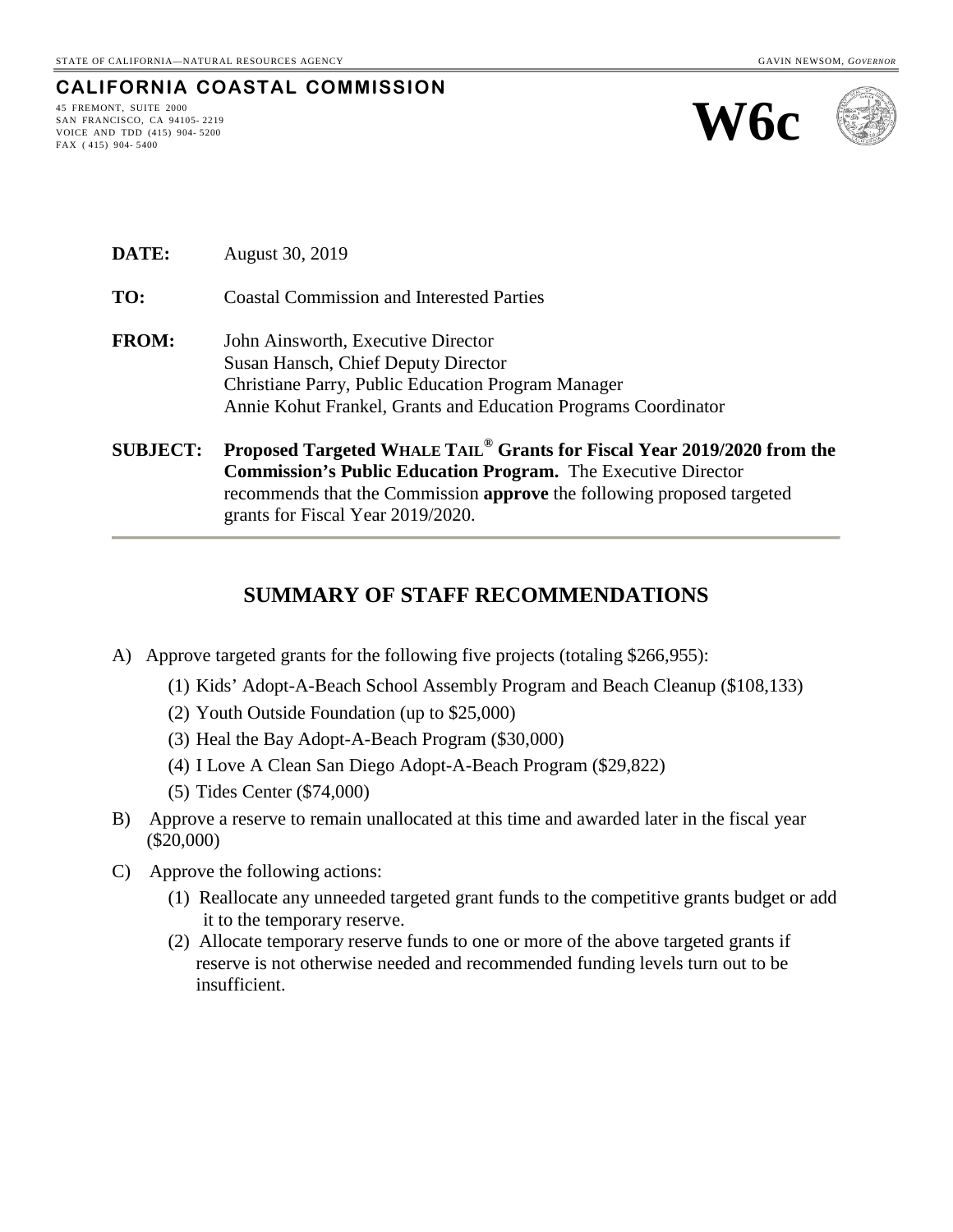#### **CALIFORNIA COASTAL COMMISSION**

45 FREMONT, SUITE 2000 SAN FRANCISCO, CA 94105- 2219 VOICE AND TDD (415) 904- 5200 FAX ( 415) 904- 5400





**DATE:** August 30, 2019

**TO:** Coastal Commission and Interested Parties

- **FROM:** John Ainsworth, Executive Director Susan Hansch, Chief Deputy Director Christiane Parry, Public Education Program Manager Annie Kohut Frankel, Grants and Education Programs Coordinator
- **SUBJECT: Proposed Targeted WHALE TAIL® Grants for Fiscal Year 2019/2020 from the Commission's Public Education Program.** The Executive Director recommends that the Commission **approve** the following proposed targeted grants for Fiscal Year 2019/2020.

#### **SUMMARY OF STAFF RECOMMENDATIONS**

- A) Approve targeted grants for the following five projects (totaling \$266,955):
	- (1) Kids' Adopt-A-Beach School Assembly Program and Beach Cleanup (\$108,133)
	- (2) Youth Outside Foundation (up to \$25,000)
	- (3) Heal the Bay Adopt-A-Beach Program (\$30,000)
	- (4) I Love A Clean San Diego Adopt-A-Beach Program (\$29,822)
	- (5) Tides Center (\$74,000)
- B) Approve a reserve to remain unallocated at this time and awarded later in the fiscal year (\$20,000)
- C) Approve the following actions:
	- (1) Reallocate any unneeded targeted grant funds to the competitive grants budget or add it to the temporary reserve.
	- (2) Allocate temporary reserve funds to one or more of the above targeted grants if reserve is not otherwise needed and recommended funding levels turn out to be insufficient.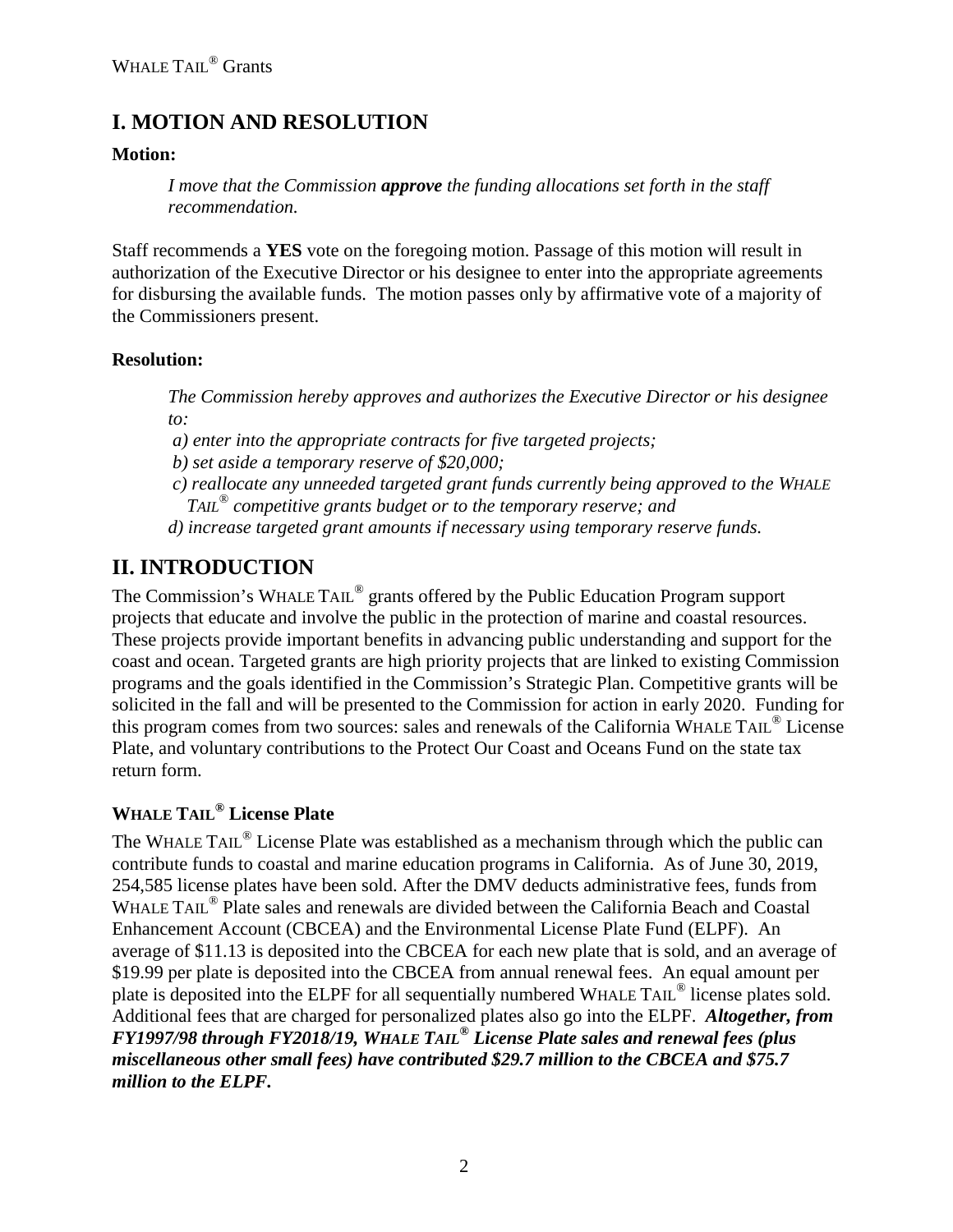# **I. MOTION AND RESOLUTION**

### **Motion:**

*I move that the Commission approve the funding allocations set forth in the staff recommendation.*

Staff recommends a **YES** vote on the foregoing motion. Passage of this motion will result in authorization of the Executive Director or his designee to enter into the appropriate agreements for disbursing the available funds. The motion passes only by affirmative vote of a majority of the Commissioners present.

### **Resolution:**

*The Commission hereby approves and authorizes the Executive Director or his designee to:*

*a) enter into the appropriate contracts for five targeted projects;*

*b) set aside a temporary reserve of \$20,000;*

*c) reallocate any unneeded targeted grant funds currently being approved to the WHALE TAIL® competitive grants budget or to the temporary reserve; and* 

*d) increase targeted grant amounts if necessary using temporary reserve funds.*

# **II. INTRODUCTION**

The Commission's WHALE TAIL® grants offered by the Public Education Program support projects that educate and involve the public in the protection of marine and coastal resources. These projects provide important benefits in advancing public understanding and support for the coast and ocean. Targeted grants are high priority projects that are linked to existing Commission programs and the goals identified in the Commission's Strategic Plan. Competitive grants will be solicited in the fall and will be presented to the Commission for action in early 2020. Funding for this program comes from two sources: sales and renewals of the California WHALE TAIL<sup>®</sup> License Plate, and voluntary contributions to the Protect Our Coast and Oceans Fund on the state tax return form.

## **WHALE TAIL® License Plate**

The WHALE TAIL<sup>®</sup> License Plate was established as a mechanism through which the public can contribute funds to coastal and marine education programs in California. As of June 30, 2019, 254,585 license plates have been sold. After the DMV deducts administrative fees, funds from WHALE TAIL<sup>®</sup> Plate sales and renewals are divided between the California Beach and Coastal Enhancement Account (CBCEA) and the Environmental License Plate Fund (ELPF). An average of \$11.13 is deposited into the CBCEA for each new plate that is sold, and an average of \$19.99 per plate is deposited into the CBCEA from annual renewal fees. An equal amount per plate is deposited into the ELPF for all sequentially numbered WHALE TAIL<sup>®</sup> license plates sold. Additional fees that are charged for personalized plates also go into the ELPF. *Altogether, from FY1997/98 through FY2018/19, WHALE TAIL® License Plate sales and renewal fees (plus miscellaneous other small fees) have contributed \$29.7 million to the CBCEA and \$75.7 million to the ELPF.*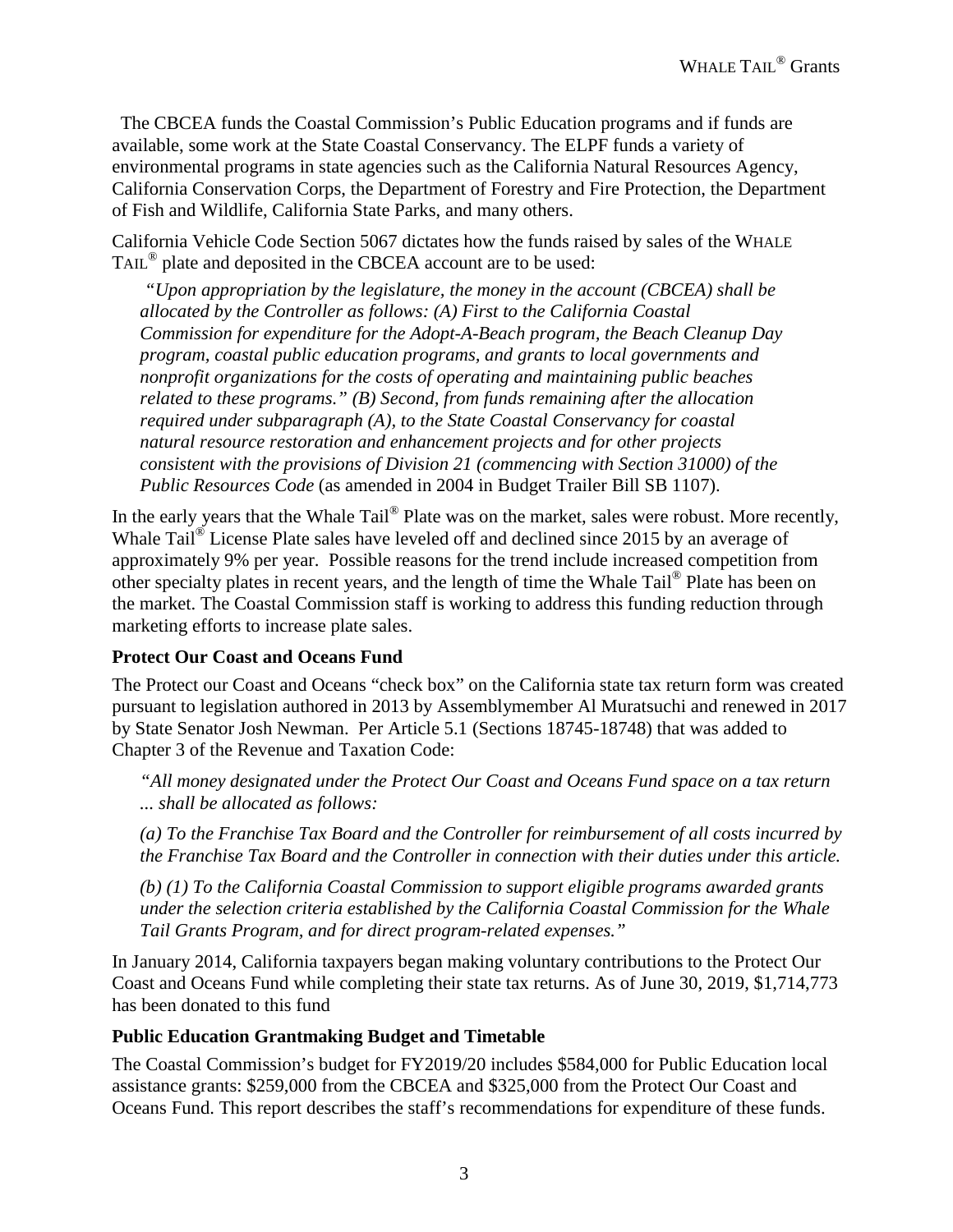The CBCEA funds the Coastal Commission's Public Education programs and if funds are available, some work at the State Coastal Conservancy. The ELPF funds a variety of environmental programs in state agencies such as the California Natural Resources Agency, California Conservation Corps, the Department of Forestry and Fire Protection, the Department of Fish and Wildlife, California State Parks, and many others.

California Vehicle Code Section 5067 dictates how the funds raised by sales of the WHALE TAIL® plate and deposited in the CBCEA account are to be used:

*"Upon appropriation by the legislature, the money in the account (CBCEA) shall be allocated by the Controller as follows: (A) First to the California Coastal Commission for expenditure for the Adopt-A-Beach program, the Beach Cleanup Day program, coastal public education programs, and grants to local governments and nonprofit organizations for the costs of operating and maintaining public beaches related to these programs." (B) Second, from funds remaining after the allocation required under subparagraph (A), to the State Coastal Conservancy for coastal natural resource restoration and enhancement projects and for other projects consistent with the provisions of Division 21 (commencing with Section 31000) of the Public Resources Code* (as amended in 2004 in Budget Trailer Bill SB 1107).

In the early years that the Whale Tail<sup>®</sup> Plate was on the market, sales were robust. More recently, Whale Tail<sup>®</sup> License Plate sales have leveled off and declined since 2015 by an average of approximately 9% per year. Possible reasons for the trend include increased competition from other specialty plates in recent years, and the length of time the Whale Tail® Plate has been on the market. The Coastal Commission staff is working to address this funding reduction through marketing efforts to increase plate sales.

#### **Protect Our Coast and Oceans Fund**

The Protect our Coast and Oceans "check box" on the California state tax return form was created pursuant to legislation authored in 2013 by Assemblymember Al Muratsuchi and renewed in 2017 by State Senator Josh Newman. Per Article 5.1 (Sections 18745-18748) that was added to Chapter 3 of the Revenue and Taxation Code:

*"All money designated under the Protect Our Coast and Oceans Fund space on a tax return ... shall be allocated as follows:* 

*(a) To the Franchise Tax Board and the Controller for reimbursement of all costs incurred by the Franchise Tax Board and the Controller in connection with their duties under this article.* 

*(b) (1) To the California Coastal Commission to support eligible programs awarded grants under the selection criteria established by the California Coastal Commission for the Whale Tail Grants Program, and for direct program-related expenses."*

In January 2014, California taxpayers began making voluntary contributions to the Protect Our Coast and Oceans Fund while completing their state tax returns. As of June 30, 2019, \$1,714,773 has been donated to this fund

#### **Public Education Grantmaking Budget and Timetable**

The Coastal Commission's budget for FY2019/20 includes \$584,000 for Public Education local assistance grants: \$259,000 from the CBCEA and \$325,000 from the Protect Our Coast and Oceans Fund. This report describes the staff's recommendations for expenditure of these funds.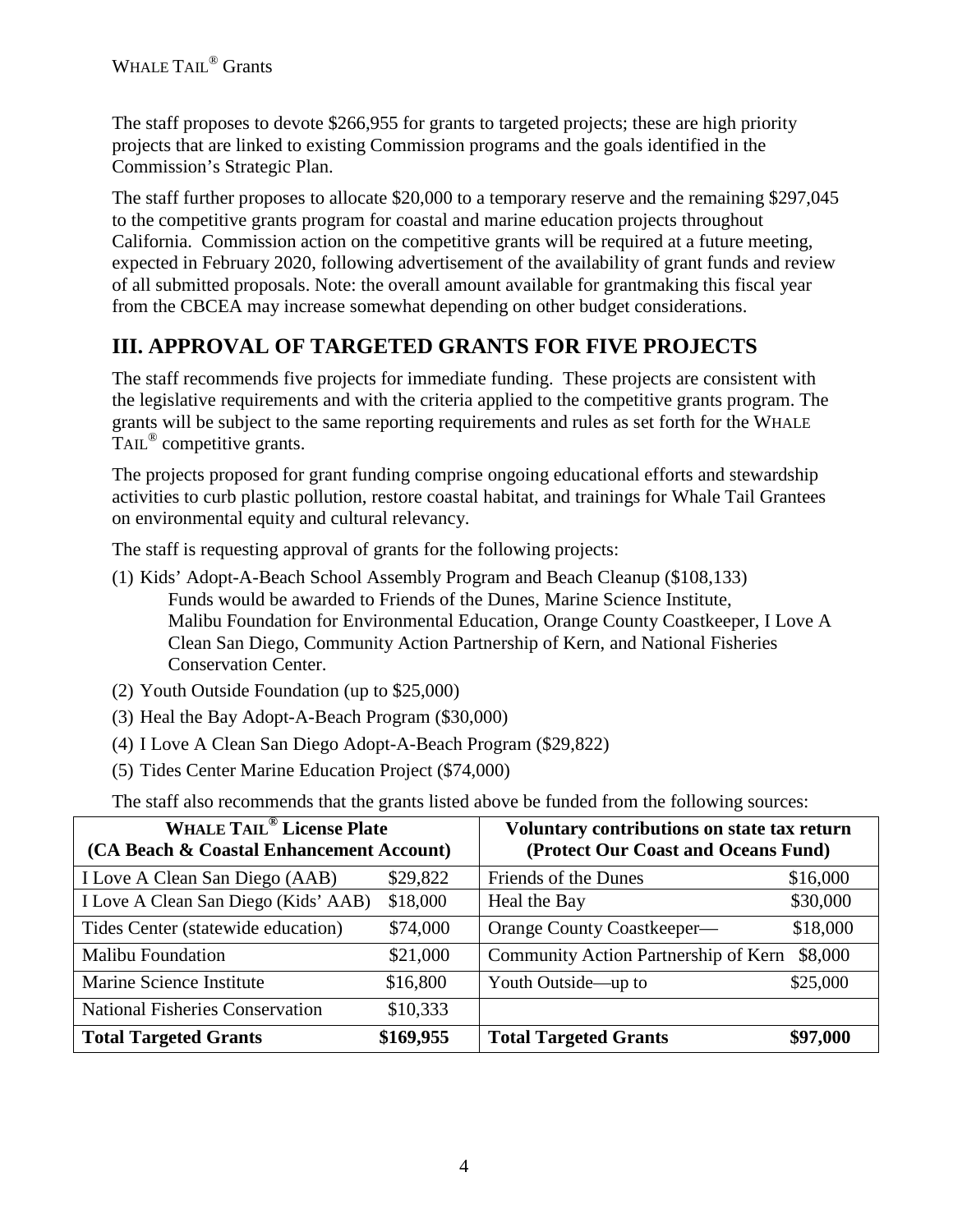The staff proposes to devote \$266,955 for grants to targeted projects; these are high priority projects that are linked to existing Commission programs and the goals identified in the Commission's Strategic Plan.

The staff further proposes to allocate \$20,000 to a temporary reserve and the remaining \$297,045 to the competitive grants program for coastal and marine education projects throughout California. Commission action on the competitive grants will be required at a future meeting, expected in February 2020, following advertisement of the availability of grant funds and review of all submitted proposals. Note: the overall amount available for grantmaking this fiscal year from the CBCEA may increase somewhat depending on other budget considerations.

# **III. APPROVAL OF TARGETED GRANTS FOR FIVE PROJECTS**

The staff recommends five projects for immediate funding. These projects are consistent with the legislative requirements and with the criteria applied to the competitive grants program. The grants will be subject to the same reporting requirements and rules as set forth for the WHALE TAIL<sup>®</sup> competitive grants.

The projects proposed for grant funding comprise ongoing educational efforts and stewardship activities to curb plastic pollution, restore coastal habitat, and trainings for Whale Tail Grantees on environmental equity and cultural relevancy.

The staff is requesting approval of grants for the following projects:

- (1) Kids' Adopt-A-Beach School Assembly Program and Beach Cleanup (\$108,133) Funds would be awarded to Friends of the Dunes, Marine Science Institute, Malibu Foundation for Environmental Education, Orange County Coastkeeper, I Love A Clean San Diego, Community Action Partnership of Kern, and National Fisheries Conservation Center.
- (2) Youth Outside Foundation (up to \$25,000)
- (3) Heal the Bay Adopt-A-Beach Program (\$30,000)
- (4) I Love A Clean San Diego Adopt-A-Beach Program (\$29,822)
- (5) Tides Center Marine Education Project (\$74,000)

The staff also recommends that the grants listed above be funded from the following sources:

| <b>WHALE TAIL<sup>®</sup></b> License Plate<br>(CA Beach & Coastal Enhancement Account) |           | Voluntary contributions on state tax return<br>(Protect Our Coast and Oceans Fund) |          |  |  |  |  |
|-----------------------------------------------------------------------------------------|-----------|------------------------------------------------------------------------------------|----------|--|--|--|--|
| I Love A Clean San Diego (AAB)                                                          | \$29,822  | Friends of the Dunes                                                               | \$16,000 |  |  |  |  |
| I Love A Clean San Diego (Kids' AAB)                                                    | \$18,000  | Heal the Bay                                                                       | \$30,000 |  |  |  |  |
| Tides Center (statewide education)                                                      | \$74,000  | Orange County Coastkeeper—                                                         | \$18,000 |  |  |  |  |
| <b>Malibu Foundation</b>                                                                | \$21,000  | Community Action Partnership of Kern                                               | \$8,000  |  |  |  |  |
| Marine Science Institute                                                                | \$16,800  | Youth Outside—up to                                                                | \$25,000 |  |  |  |  |
| <b>National Fisheries Conservation</b>                                                  | \$10,333  |                                                                                    |          |  |  |  |  |
| <b>Total Targeted Grants</b>                                                            | \$169,955 | <b>Total Targeted Grants</b>                                                       | \$97,000 |  |  |  |  |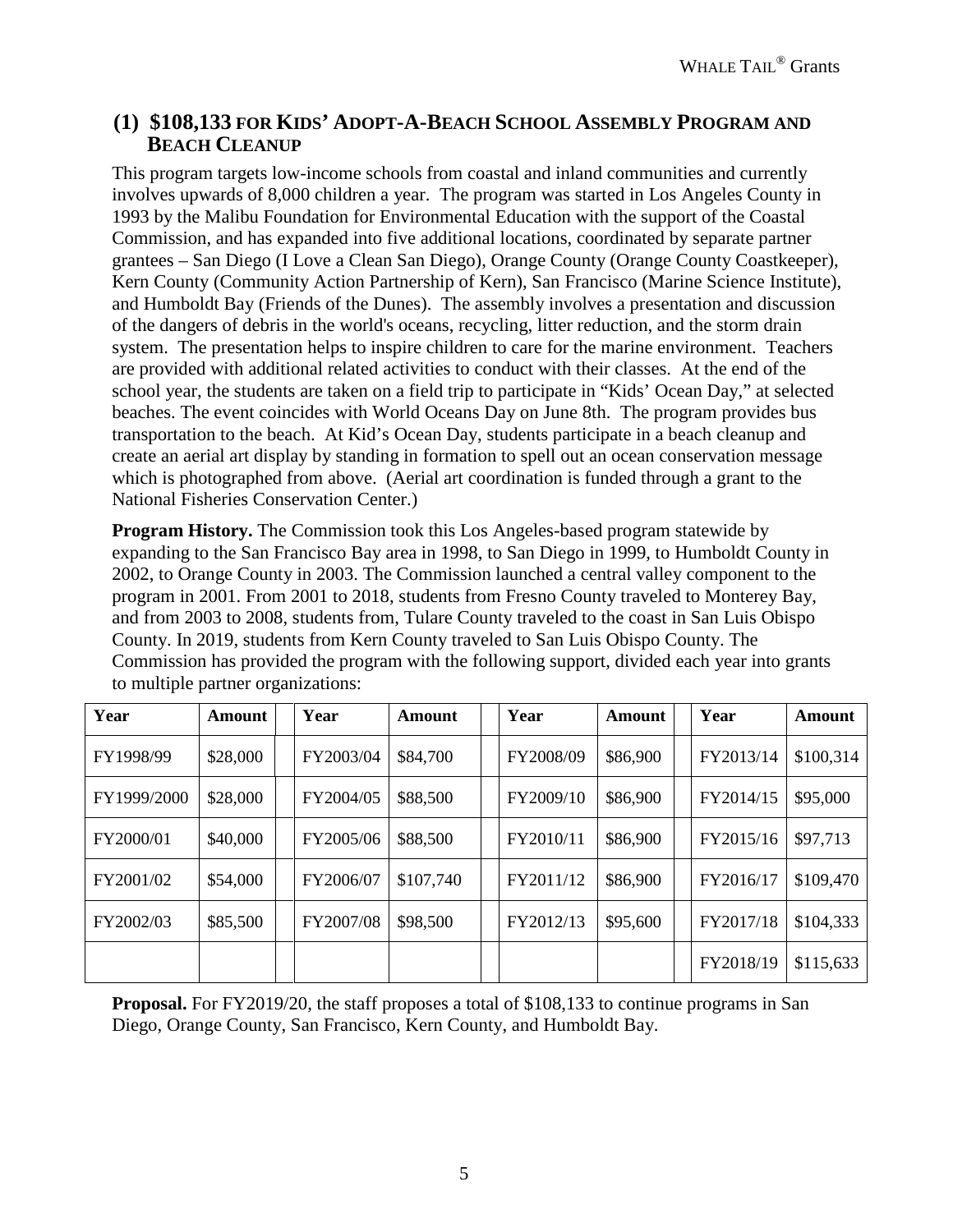### **(1) \$108,133 FOR KIDS' ADOPT-A-BEACH SCHOOL ASSEMBLY PROGRAM AND BEACH CLEANUP**

This program targets low-income schools from coastal and inland communities and currently involves upwards of 8,000 children a year. The program was started in Los Angeles County in 1993 by the Malibu Foundation for Environmental Education with the support of the Coastal Commission, and has expanded into five additional locations, coordinated by separate partner grantees – San Diego (I Love a Clean San Diego), Orange County (Orange County Coastkeeper), Kern County (Community Action Partnership of Kern), San Francisco (Marine Science Institute), and Humboldt Bay (Friends of the Dunes). The assembly involves a presentation and discussion of the dangers of debris in the world's oceans, recycling, litter reduction, and the storm drain system. The presentation helps to inspire children to care for the marine environment. Teachers are provided with additional related activities to conduct with their classes. At the end of the school year, the students are taken on a field trip to participate in "Kids' Ocean Day," at selected beaches. The event coincides with World Oceans Day on June 8th. The program provides bus transportation to the beach. At Kid's Ocean Day, students participate in a beach cleanup and create an aerial art display by standing in formation to spell out an ocean conservation message which is photographed from above. (Aerial art coordination is funded through a grant to the National Fisheries Conservation Center.)

**Program History.** The Commission took this Los Angeles-based program statewide by expanding to the San Francisco Bay area in 1998, to San Diego in 1999, to Humboldt County in 2002, to Orange County in 2003. The Commission launched a central valley component to the program in 2001. From 2001 to 2018, students from Fresno County traveled to Monterey Bay, and from 2003 to 2008, students from, Tulare County traveled to the coast in San Luis Obispo County. In 2019, students from Kern County traveled to San Luis Obispo County. The Commission has provided the program with the following support, divided each year into grants to multiple partner organizations:

| Year        | Amount   | Year      | Amount    | Year      | <b>Amount</b> | Year      | Amount    |
|-------------|----------|-----------|-----------|-----------|---------------|-----------|-----------|
| FY1998/99   | \$28,000 | FY2003/04 | \$84,700  | FY2008/09 | \$86,900      | FY2013/14 | \$100,314 |
| FY1999/2000 | \$28,000 | FY2004/05 | \$88,500  | FY2009/10 | \$86,900      | FY2014/15 | \$95,000  |
| FY2000/01   | \$40,000 | FY2005/06 | \$88,500  | FY2010/11 | \$86,900      | FY2015/16 | \$97,713  |
| FY2001/02   | \$54,000 | FY2006/07 | \$107,740 | FY2011/12 | \$86,900      | FY2016/17 | \$109,470 |
| FY2002/03   | \$85,500 | FY2007/08 | \$98,500  | FY2012/13 | \$95,600      | FY2017/18 | \$104,333 |
|             |          |           |           |           |               | FY2018/19 | \$115,633 |

**Proposal.** For FY2019/20, the staff proposes a total of \$108,133 to continue programs in San Diego, Orange County, San Francisco, Kern County, and Humboldt Bay.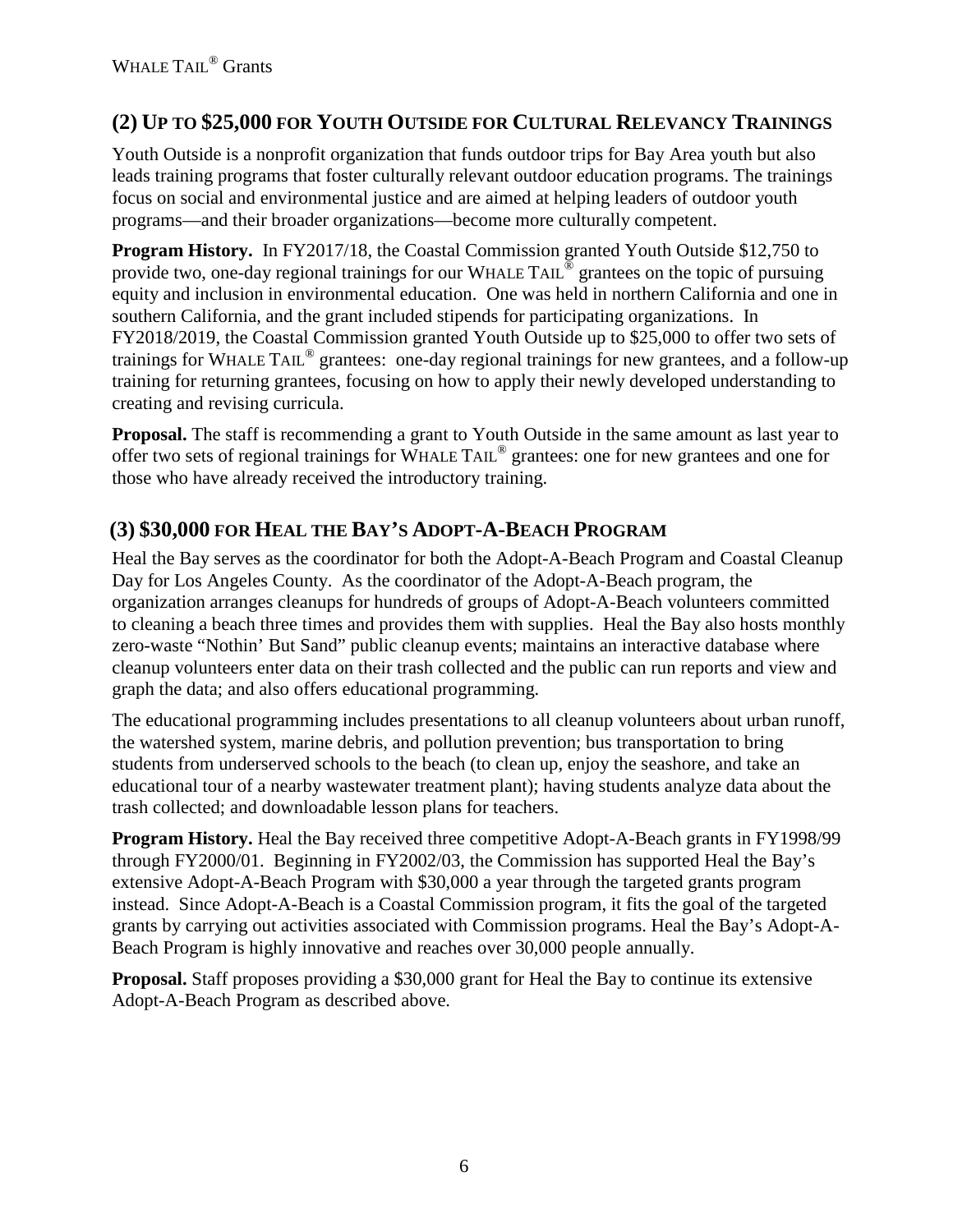## **(2) UP TO \$25,000 FOR YOUTH OUTSIDE FOR CULTURAL RELEVANCY TRAININGS**

Youth Outside is a nonprofit organization that funds outdoor trips for Bay Area youth but also leads training programs that foster culturally relevant outdoor education programs. The trainings focus on social and environmental justice and are aimed at helping leaders of outdoor youth programs—and their broader organizations—become more culturally competent.

**Program History.** In FY2017/18, the Coastal Commission granted Youth Outside \$12,750 to provide two, one-day regional trainings for our WHALE TAIL<sup>®</sup> grantees on the topic of pursuing equity and inclusion in environmental education. One was held in northern California and one in southern California, and the grant included stipends for participating organizations. In FY2018/2019, the Coastal Commission granted Youth Outside up to \$25,000 to offer two sets of trainings for WHALE TAIL® grantees: one-day regional trainings for new grantees, and a follow-up training for returning grantees, focusing on how to apply their newly developed understanding to creating and revising curricula.

**Proposal.** The staff is recommending a grant to Youth Outside in the same amount as last year to offer two sets of regional trainings for WHALE TAIL® grantees: one for new grantees and one for those who have already received the introductory training.

## **(3) \$30,000 FOR HEAL THE BAY'S ADOPT-A-BEACH PROGRAM**

Heal the Bay serves as the coordinator for both the Adopt-A-Beach Program and Coastal Cleanup Day for Los Angeles County. As the coordinator of the Adopt-A-Beach program, the organization arranges cleanups for hundreds of groups of Adopt-A-Beach volunteers committed to cleaning a beach three times and provides them with supplies. Heal the Bay also hosts monthly zero-waste "Nothin' But Sand" public cleanup events; maintains an interactive database where cleanup volunteers enter data on their trash collected and the public can run reports and view and graph the data; and also offers educational programming.

The educational programming includes presentations to all cleanup volunteers about urban runoff, the watershed system, marine debris, and pollution prevention; bus transportation to bring students from underserved schools to the beach (to clean up, enjoy the seashore, and take an educational tour of a nearby wastewater treatment plant); having students analyze data about the trash collected; and downloadable lesson plans for teachers.

**Program History.** Heal the Bay received three competitive Adopt-A-Beach grants in FY1998/99 through FY2000/01. Beginning in FY2002/03, the Commission has supported Heal the Bay's extensive Adopt-A-Beach Program with \$30,000 a year through the targeted grants program instead. Since Adopt-A-Beach is a Coastal Commission program, it fits the goal of the targeted grants by carrying out activities associated with Commission programs. Heal the Bay's Adopt-A-Beach Program is highly innovative and reaches over 30,000 people annually.

**Proposal.** Staff proposes providing a \$30,000 grant for Heal the Bay to continue its extensive Adopt-A-Beach Program as described above.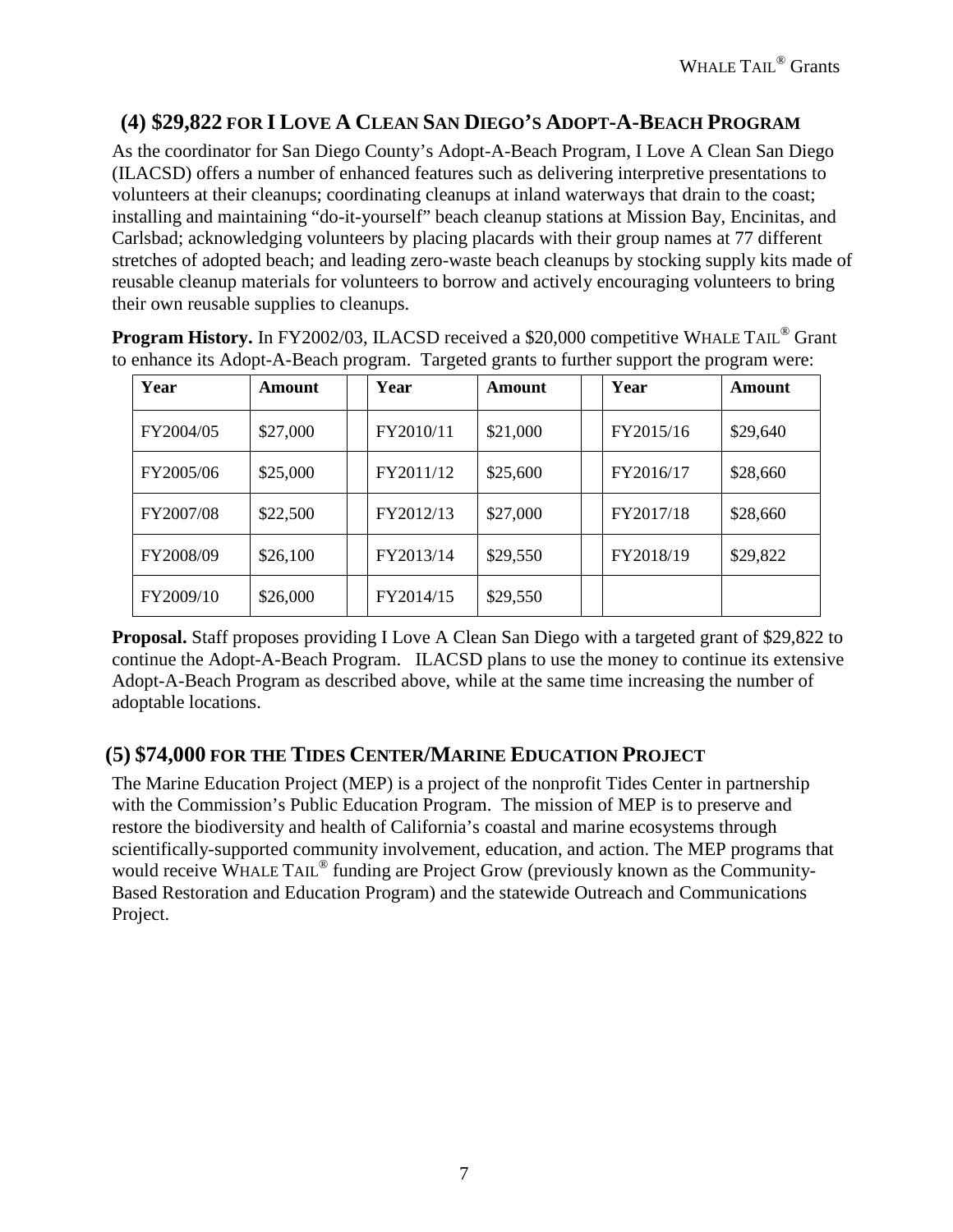## **(4) \$29,822 FOR I LOVE A CLEAN SAN DIEGO'S ADOPT-A-BEACH PROGRAM**

As the coordinator for San Diego County's Adopt-A-Beach Program, I Love A Clean San Diego (ILACSD) offers a number of enhanced features such as delivering interpretive presentations to volunteers at their cleanups; coordinating cleanups at inland waterways that drain to the coast; installing and maintaining "do-it-yourself" beach cleanup stations at Mission Bay, Encinitas, and Carlsbad; acknowledging volunteers by placing placards with their group names at 77 different stretches of adopted beach; and leading zero-waste beach cleanups by stocking supply kits made of reusable cleanup materials for volunteers to borrow and actively encouraging volunteers to bring their own reusable supplies to cleanups.

| Year      | Amount   | Year      | <b>Amount</b> | Year      | Amount   |
|-----------|----------|-----------|---------------|-----------|----------|
| FY2004/05 | \$27,000 | FY2010/11 | \$21,000      | FY2015/16 | \$29,640 |
| FY2005/06 | \$25,000 | FY2011/12 | \$25,600      | FY2016/17 | \$28,660 |
| FY2007/08 | \$22,500 | FY2012/13 | \$27,000      | FY2017/18 | \$28,660 |
| FY2008/09 | \$26,100 | FY2013/14 | \$29,550      | FY2018/19 | \$29,822 |
| FY2009/10 | \$26,000 | FY2014/15 | \$29,550      |           |          |

**Program History.** In FY2002/03, ILACSD received a \$20,000 competitive WHALE TAIL<sup>®</sup> Grant to enhance its Adopt-A-Beach program. Targeted grants to further support the program were:

**Proposal.** Staff proposes providing I Love A Clean San Diego with a targeted grant of \$29,822 to continue the Adopt-A-Beach Program. ILACSD plans to use the money to continue its extensive Adopt-A-Beach Program as described above, while at the same time increasing the number of adoptable locations.

### **(5) \$74,000 FOR THE TIDES CENTER/MARINE EDUCATION PROJECT**

The Marine Education Project (MEP) is a project of the nonprofit Tides Center in partnership with the Commission's Public Education Program. The mission of MEP is to preserve and restore the biodiversity and health of California's coastal and marine ecosystems through scientifically-supported community involvement, education, and action. The MEP programs that would receive WHALE TAIL<sup>®</sup> funding are Project Grow (previously known as the Community-Based Restoration and Education Program) and the statewide Outreach and Communications Project.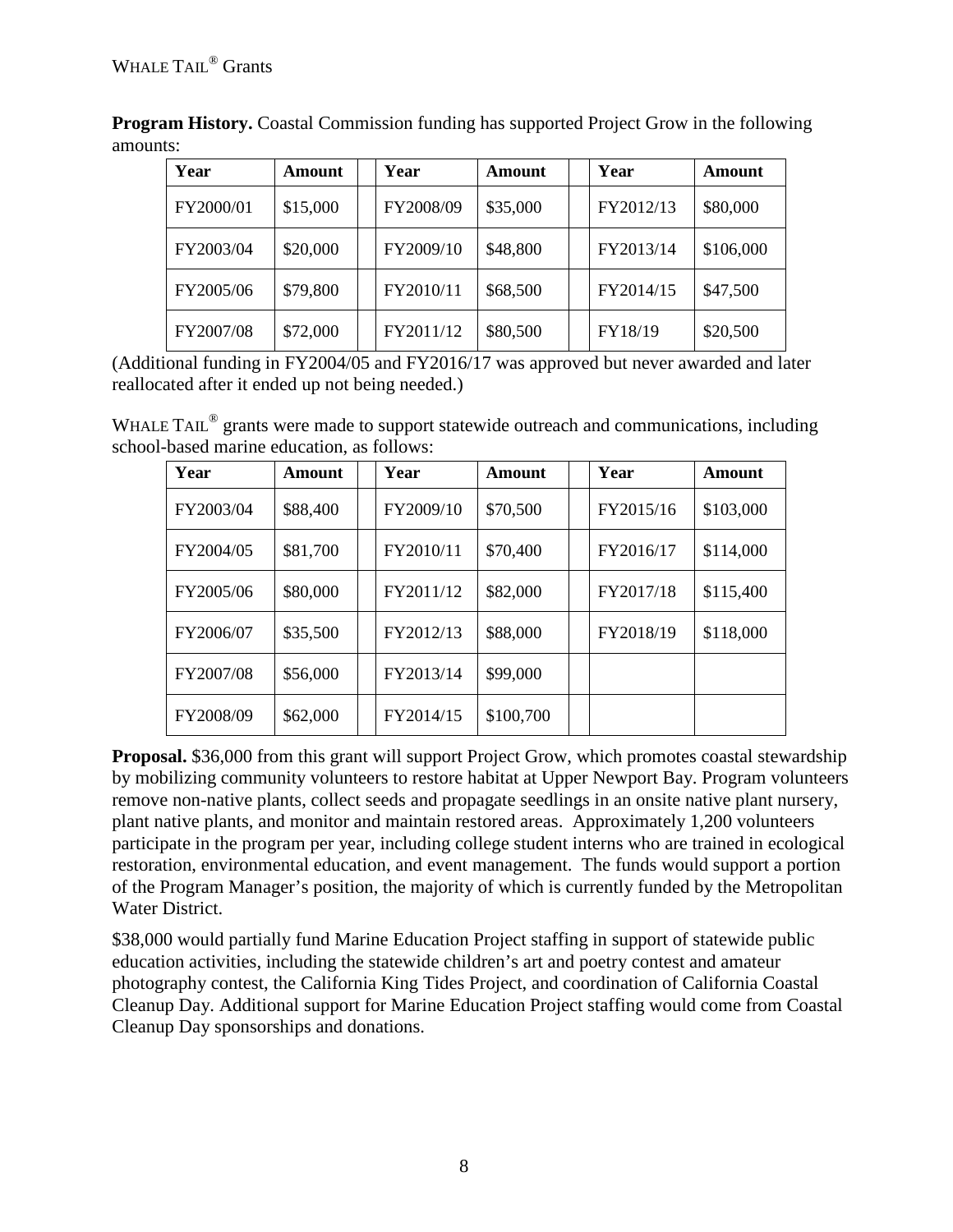| Year      | Amount   | Year      | Amount   | Year      | Amount    |
|-----------|----------|-----------|----------|-----------|-----------|
| FY2000/01 | \$15,000 | FY2008/09 | \$35,000 | FY2012/13 | \$80,000  |
| FY2003/04 | \$20,000 | FY2009/10 | \$48,800 | FY2013/14 | \$106,000 |
| FY2005/06 | \$79,800 | FY2010/11 | \$68,500 | FY2014/15 | \$47,500  |
| FY2007/08 | \$72,000 | FY2011/12 | \$80,500 | FY18/19   | \$20,500  |

**Program History.** Coastal Commission funding has supported Project Grow in the following amounts:

(Additional funding in FY2004/05 and FY2016/17 was approved but never awarded and later reallocated after it ended up not being needed.)

WHALE TAIL<sup>®</sup> grants were made to support statewide outreach and communications, including school-based marine education, as follows:

| Year      | Amount   | Year      | Amount    | Year      | <b>Amount</b> |
|-----------|----------|-----------|-----------|-----------|---------------|
| FY2003/04 | \$88,400 | FY2009/10 | \$70,500  | FY2015/16 | \$103,000     |
| FY2004/05 | \$81,700 | FY2010/11 | \$70,400  | FY2016/17 | \$114,000     |
| FY2005/06 | \$80,000 | FY2011/12 | \$82,000  | FY2017/18 | \$115,400     |
| FY2006/07 | \$35,500 | FY2012/13 | \$88,000  | FY2018/19 | \$118,000     |
| FY2007/08 | \$56,000 | FY2013/14 | \$99,000  |           |               |
| FY2008/09 | \$62,000 | FY2014/15 | \$100,700 |           |               |

**Proposal.** \$36,000 from this grant will support Project Grow, which promotes coastal stewardship by mobilizing community volunteers to restore habitat at Upper Newport Bay. Program volunteers remove non-native plants, collect seeds and propagate seedlings in an onsite native plant nursery, plant native plants, and monitor and maintain restored areas. Approximately 1,200 volunteers participate in the program per year, including college student interns who are trained in ecological restoration, environmental education, and event management. The funds would support a portion of the Program Manager's position, the majority of which is currently funded by the Metropolitan Water District.

\$38,000 would partially fund Marine Education Project staffing in support of statewide public education activities, including the statewide children's art and poetry contest and amateur photography contest, the California King Tides Project, and coordination of California Coastal Cleanup Day. Additional support for Marine Education Project staffing would come from Coastal Cleanup Day sponsorships and donations.